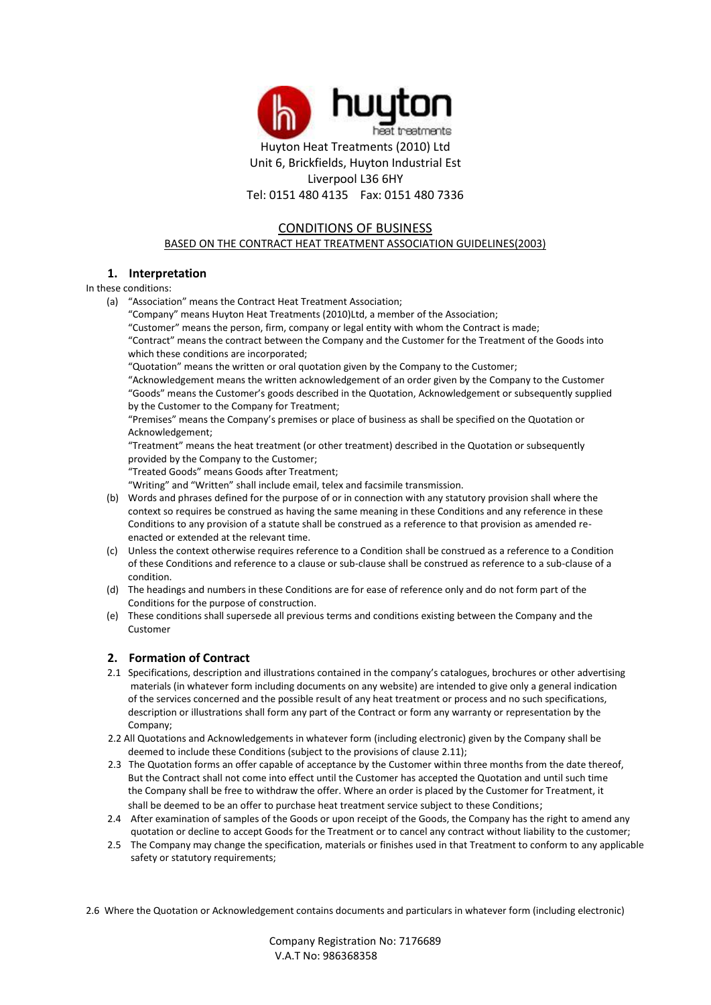

# CONDITIONS OF BUSINESS

BASED ON THE CONTRACT HEAT TREATMENT ASSOCIATION GUIDELINES(2003)

# **1. Interpretation**

In these conditions:

- (a) "Association" means the Contract Heat Treatment Association;
	- "Company" means Huyton Heat Treatments (2010)Ltd, a member of the Association;

"Customer" means the person, firm, company or legal entity with whom the Contract is made;

"Contract" means the contract between the Company and the Customer for the Treatment of the Goods into which these conditions are incorporated;

"Quotation" means the written or oral quotation given by the Company to the Customer;

"Acknowledgement means the written acknowledgement of an order given by the Company to the Customer "Goods" means the Customer's goods described in the Quotation, Acknowledgement or subsequently supplied by the Customer to the Company for Treatment;

"Premises" means the Company's premises or place of business as shall be specified on the Quotation or Acknowledgement;

"Treatment" means the heat treatment (or other treatment) described in the Quotation or subsequently provided by the Company to the Customer;

"Treated Goods" means Goods after Treatment;

"Writing" and "Written" shall include email, telex and facsimile transmission.

- (b) Words and phrases defined for the purpose of or in connection with any statutory provision shall where the context so requires be construed as having the same meaning in these Conditions and any reference in these Conditions to any provision of a statute shall be construed as a reference to that provision as amended reenacted or extended at the relevant time.
- (c) Unless the context otherwise requires reference to a Condition shall be construed as a reference to a Condition of these Conditions and reference to a clause or sub-clause shall be construed as reference to a sub-clause of a condition.
- (d) The headings and numbers in these Conditions are for ease of reference only and do not form part of the Conditions for the purpose of construction.
- (e) These conditions shall supersede all previous terms and conditions existing between the Company and the Customer

# **2. Formation of Contract**

- 2.1 Specifications, description and illustrations contained in the company's catalogues, brochures or other advertising materials (in whatever form including documents on any website) are intended to give only a general indication of the services concerned and the possible result of any heat treatment or process and no such specifications, description or illustrations shall form any part of the Contract or form any warranty or representation by the Company;
- 2.2 All Quotations and Acknowledgements in whatever form (including electronic) given by the Company shall be deemed to include these Conditions (subject to the provisions of clause 2.11);
- 2.3 The Quotation forms an offer capable of acceptance by the Customer within three months from the date thereof, But the Contract shall not come into effect until the Customer has accepted the Quotation and until such time the Company shall be free to withdraw the offer. Where an order is placed by the Customer for Treatment, it shall be deemed to be an offer to purchase heat treatment service subject to these Conditions;
- 2.4 After examination of samples of the Goods or upon receipt of the Goods, the Company has the right to amend any quotation or decline to accept Goods for the Treatment or to cancel any contract without liability to the customer;
- 2.5 The Company may change the specification, materials or finishes used in that Treatment to conform to any applicable safety or statutory requirements;

2.6 Where the Quotation or Acknowledgement contains documents and particulars in whatever form (including electronic)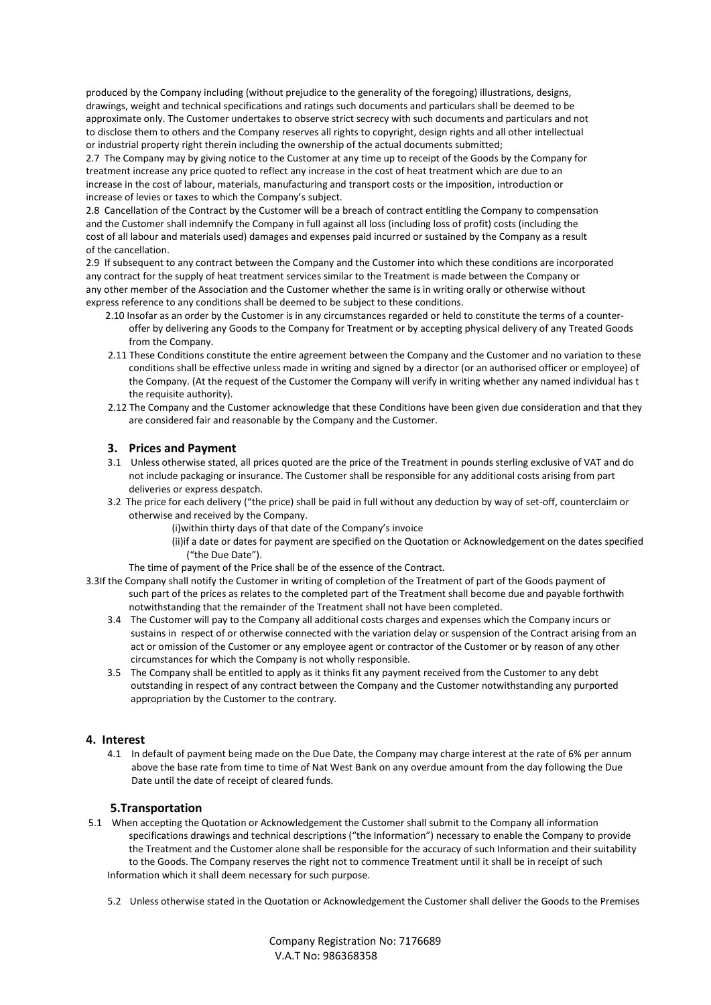produced by the Company including (without prejudice to the generality of the foregoing) illustrations, designs, drawings, weight and technical specifications and ratings such documents and particulars shall be deemed to be approximate only. The Customer undertakes to observe strict secrecy with such documents and particulars and not to disclose them to others and the Company reserves all rights to copyright, design rights and all other intellectual or industrial property right therein including the ownership of the actual documents submitted;

2.7 The Company may by giving notice to the Customer at any time up to receipt of the Goods by the Company for treatment increase any price quoted to reflect any increase in the cost of heat treatment which are due to an increase in the cost of labour, materials, manufacturing and transport costs or the imposition, introduction or increase of levies or taxes to which the Company's subject.

2.8 Cancellation of the Contract by the Customer will be a breach of contract entitling the Company to compensation and the Customer shall indemnify the Company in full against all loss (including loss of profit) costs (including the cost of all labour and materials used) damages and expenses paid incurred or sustained by the Company as a result of the cancellation.

2.9 If subsequent to any contract between the Company and the Customer into which these conditions are incorporated any contract for the supply of heat treatment services similar to the Treatment is made between the Company or any other member of the Association and the Customer whether the same is in writing orally or otherwise without express reference to any conditions shall be deemed to be subject to these conditions.

- 2.10 Insofar as an order by the Customer is in any circumstances regarded or held to constitute the terms of a counteroffer by delivering any Goods to the Company for Treatment or by accepting physical delivery of any Treated Goods from the Company.
- 2.11 These Conditions constitute the entire agreement between the Company and the Customer and no variation to these conditions shall be effective unless made in writing and signed by a director (or an authorised officer or employee) of the Company. (At the request of the Customer the Company will verify in writing whether any named individual has t the requisite authority).
- 2.12 The Company and the Customer acknowledge that these Conditions have been given due consideration and that they are considered fair and reasonable by the Company and the Customer.

# **3. Prices and Payment**

- 3.1 Unless otherwise stated, all prices quoted are the price of the Treatment in pounds sterling exclusive of VAT and do not include packaging or insurance. The Customer shall be responsible for any additional costs arising from part deliveries or express despatch.
- 3.2 The price for each delivery ("the price) shall be paid in full without any deduction by way of set-off, counterclaim or otherwise and received by the Company.
	- (i)within thirty days of that date of the Company's invoice
	- (ii)if a date or dates for payment are specified on the Quotation or Acknowledgement on the dates specified ("the Due Date").
	- The time of payment of the Price shall be of the essence of the Contract.
- 3.3If the Company shall notify the Customer in writing of completion of the Treatment of part of the Goods payment of such part of the prices as relates to the completed part of the Treatment shall become due and payable forthwith notwithstanding that the remainder of the Treatment shall not have been completed.
	- 3.4 The Customer will pay to the Company all additional costs charges and expenses which the Company incurs or sustains in respect of or otherwise connected with the variation delay or suspension of the Contract arising from an act or omission of the Customer or any employee agent or contractor of the Customer or by reason of any other circumstances for which the Company is not wholly responsible.
	- 3.5 The Company shall be entitled to apply as it thinks fit any payment received from the Customer to any debt outstanding in respect of any contract between the Company and the Customer notwithstanding any purported appropriation by the Customer to the contrary.

# **4. Interest**

4.1 In default of payment being made on the Due Date, the Company may charge interest at the rate of 6% per annum above the base rate from time to time of Nat West Bank on any overdue amount from the day following the Due Date until the date of receipt of cleared funds.

# **5.Transportation**

- 5.1 When accepting the Quotation or Acknowledgement the Customer shall submit to the Company all information specifications drawings and technical descriptions ("the Information") necessary to enable the Company to provide the Treatment and the Customer alone shall be responsible for the accuracy of such Information and their suitability to the Goods. The Company reserves the right not to commence Treatment until it shall be in receipt of such Information which it shall deem necessary for such purpose.
	- 5.2 Unless otherwise stated in the Quotation or Acknowledgement the Customer shall deliver the Goods to the Premises

Company Registration No: 7176689 V.A.T No: 986368358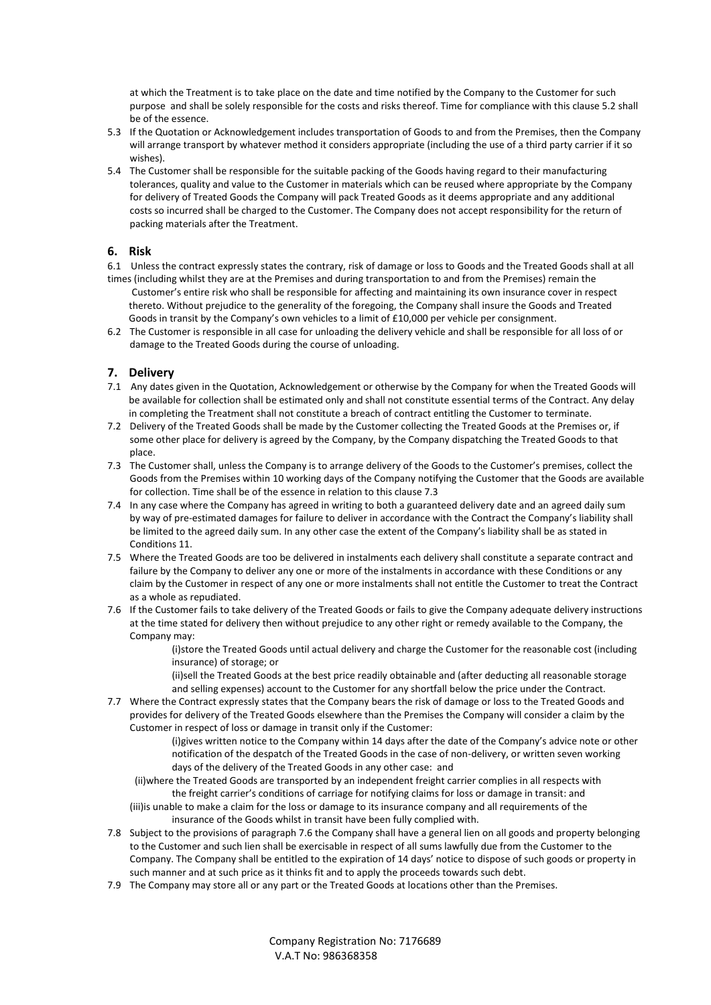at which the Treatment is to take place on the date and time notified by the Company to the Customer for such purpose and shall be solely responsible for the costs and risks thereof. Time for compliance with this clause 5.2 shall be of the essence.

- 5.3 If the Quotation or Acknowledgement includes transportation of Goods to and from the Premises, then the Company will arrange transport by whatever method it considers appropriate (including the use of a third party carrier if it so wishes).
- 5.4 The Customer shall be responsible for the suitable packing of the Goods having regard to their manufacturing tolerances, quality and value to the Customer in materials which can be reused where appropriate by the Company for delivery of Treated Goods the Company will pack Treated Goods as it deems appropriate and any additional costs so incurred shall be charged to the Customer. The Company does not accept responsibility for the return of packing materials after the Treatment.

# **6. Risk**

6.1 Unless the contract expressly states the contrary, risk of damage or loss to Goods and the Treated Goods shall at all

- times (including whilst they are at the Premises and during transportation to and from the Premises) remain the Customer's entire risk who shall be responsible for affecting and maintaining its own insurance cover in respect thereto. Without prejudice to the generality of the foregoing, the Company shall insure the Goods and Treated Goods in transit by the Company's own vehicles to a limit of £10,000 per vehicle per consignment.
- 6.2 The Customer is responsible in all case for unloading the delivery vehicle and shall be responsible for all loss of or damage to the Treated Goods during the course of unloading.

# **7. Delivery**

- 7.1 Any dates given in the Quotation, Acknowledgement or otherwise by the Company for when the Treated Goods will be available for collection shall be estimated only and shall not constitute essential terms of the Contract. Any delay in completing the Treatment shall not constitute a breach of contract entitling the Customer to terminate.
- 7.2 Delivery of the Treated Goods shall be made by the Customer collecting the Treated Goods at the Premises or, if some other place for delivery is agreed by the Company, by the Company dispatching the Treated Goods to that place.
- 7.3 The Customer shall, unless the Company is to arrange delivery of the Goods to the Customer's premises, collect the Goods from the Premises within 10 working days of the Company notifying the Customer that the Goods are available for collection. Time shall be of the essence in relation to this clause 7.3
- 7.4 In any case where the Company has agreed in writing to both a guaranteed delivery date and an agreed daily sum by way of pre-estimated damages for failure to deliver in accordance with the Contract the Company's liability shall be limited to the agreed daily sum. In any other case the extent of the Company's liability shall be as stated in Conditions 11.
- 7.5 Where the Treated Goods are too be delivered in instalments each delivery shall constitute a separate contract and failure by the Company to deliver any one or more of the instalments in accordance with these Conditions or any claim by the Customer in respect of any one or more instalments shall not entitle the Customer to treat the Contract as a whole as repudiated.
- 7.6 If the Customer fails to take delivery of the Treated Goods or fails to give the Company adequate delivery instructions at the time stated for delivery then without prejudice to any other right or remedy available to the Company, the Company may:

(i)store the Treated Goods until actual delivery and charge the Customer for the reasonable cost (including insurance) of storage; or

(ii)sell the Treated Goods at the best price readily obtainable and (after deducting all reasonable storage and selling expenses) account to the Customer for any shortfall below the price under the Contract.

7.7 Where the Contract expressly states that the Company bears the risk of damage or loss to the Treated Goods and provides for delivery of the Treated Goods elsewhere than the Premises the Company will consider a claim by the Customer in respect of loss or damage in transit only if the Customer:

(i)gives written notice to the Company within 14 days after the date of the Company's advice note or other notification of the despatch of the Treated Goods in the case of non-delivery, or written seven working days of the delivery of the Treated Goods in any other case: and

- (ii)where the Treated Goods are transported by an independent freight carrier complies in all respects with the freight carrier's conditions of carriage for notifying claims for loss or damage in transit: and (iii)is unable to make a claim for the loss or damage to its insurance company and all requirements of the insurance of the Goods whilst in transit have been fully complied with.
- 7.8 Subject to the provisions of paragraph 7.6 the Company shall have a general lien on all goods and property belonging to the Customer and such lien shall be exercisable in respect of all sums lawfully due from the Customer to the Company. The Company shall be entitled to the expiration of 14 days' notice to dispose of such goods or property in such manner and at such price as it thinks fit and to apply the proceeds towards such debt.
- 7.9 The Company may store all or any part or the Treated Goods at locations other than the Premises.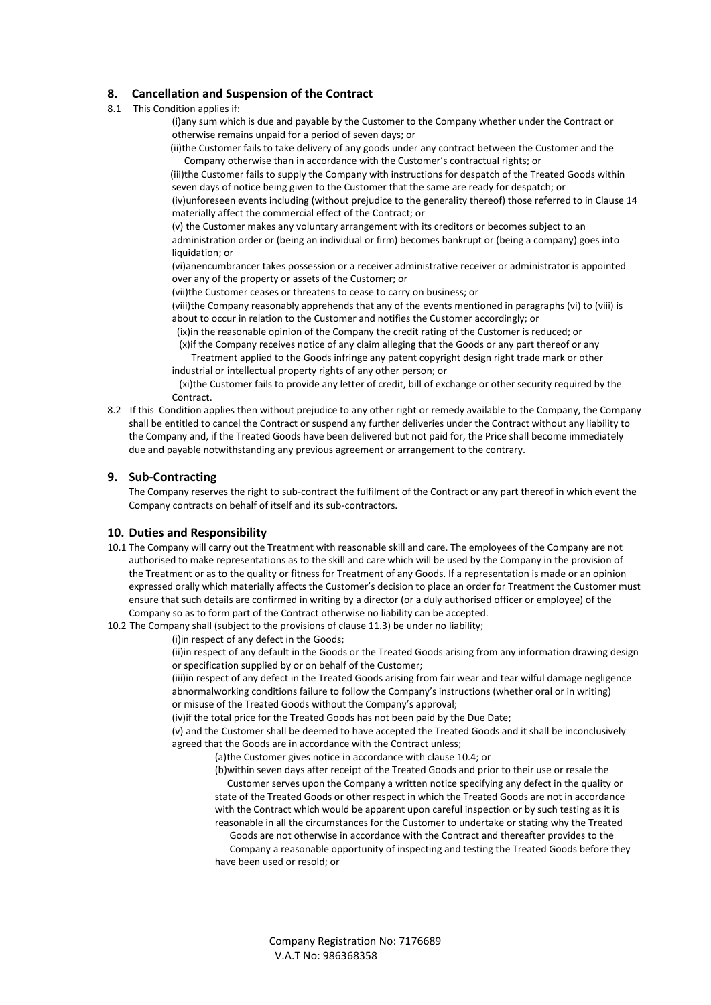# **8. Cancellation and Suspension of the Contract**

8.1 This Condition applies if:

(i)any sum which is due and payable by the Customer to the Company whether under the Contract or otherwise remains unpaid for a period of seven days; or

 (ii)the Customer fails to take delivery of any goods under any contract between the Customer and the Company otherwise than in accordance with the Customer's contractual rights; or

 (iii)the Customer fails to supply the Company with instructions for despatch of the Treated Goods within seven days of notice being given to the Customer that the same are ready for despatch; or (iv)unforeseen events including (without prejudice to the generality thereof) those referred to in Clause 14

materially affect the commercial effect of the Contract; or

(v) the Customer makes any voluntary arrangement with its creditors or becomes subject to an administration order or (being an individual or firm) becomes bankrupt or (being a company) goes into liquidation; or

(vi)anencumbrancer takes possession or a receiver administrative receiver or administrator is appointed over any of the property or assets of the Customer; or

(vii)the Customer ceases or threatens to cease to carry on business; or

(viii)the Company reasonably apprehends that any of the events mentioned in paragraphs (vi) to (viii) is about to occur in relation to the Customer and notifies the Customer accordingly; or

(ix)in the reasonable opinion of the Company the credit rating of the Customer is reduced; or

 (x)if the Company receives notice of any claim alleging that the Goods or any part thereof or any Treatment applied to the Goods infringe any patent copyright design right trade mark or other industrial or intellectual property rights of any other person; or

 (xi)the Customer fails to provide any letter of credit, bill of exchange or other security required by the **Contract** 

8.2 If this Condition applies then without prejudice to any other right or remedy available to the Company, the Company shall be entitled to cancel the Contract or suspend any further deliveries under the Contract without any liability to the Company and, if the Treated Goods have been delivered but not paid for, the Price shall become immediately due and payable notwithstanding any previous agreement or arrangement to the contrary.

# **9. Sub-Contracting**

The Company reserves the right to sub-contract the fulfilment of the Contract or any part thereof in which event the Company contracts on behalf of itself and its sub-contractors.

# **10. Duties and Responsibility**

- 10.1 The Company will carry out the Treatment with reasonable skill and care. The employees of the Company are not authorised to make representations as to the skill and care which will be used by the Company in the provision of the Treatment or as to the quality or fitness for Treatment of any Goods. If a representation is made or an opinion expressed orally which materially affects the Customer's decision to place an order for Treatment the Customer must ensure that such details are confirmed in writing by a director (or a duly authorised officer or employee) of the Company so as to form part of the Contract otherwise no liability can be accepted.
- 10.2 The Company shall (subject to the provisions of clause 11.3) be under no liability;

(i)in respect of any defect in the Goods;

(ii)in respect of any default in the Goods or the Treated Goods arising from any information drawing design or specification supplied by or on behalf of the Customer;

(iii)in respect of any defect in the Treated Goods arising from fair wear and tear wilful damage negligence abnormalworking conditions failure to follow the Company's instructions (whether oral or in writing) or misuse of the Treated Goods without the Company's approval;

(iv)if the total price for the Treated Goods has not been paid by the Due Date;

(v) and the Customer shall be deemed to have accepted the Treated Goods and it shall be inconclusively agreed that the Goods are in accordance with the Contract unless;

(a)the Customer gives notice in accordance with clause 10.4; or

(b)within seven days after receipt of the Treated Goods and prior to their use or resale the Customer serves upon the Company a written notice specifying any defect in the quality or state of the Treated Goods or other respect in which the Treated Goods are not in accordance with the Contract which would be apparent upon careful inspection or by such testing as it is reasonable in all the circumstances for the Customer to undertake or stating why the Treated

Goods are not otherwise in accordance with the Contract and thereafter provides to the

 Company a reasonable opportunity of inspecting and testing the Treated Goods before they have been used or resold; or

> Company Registration No: 7176689 V.A.T No: 986368358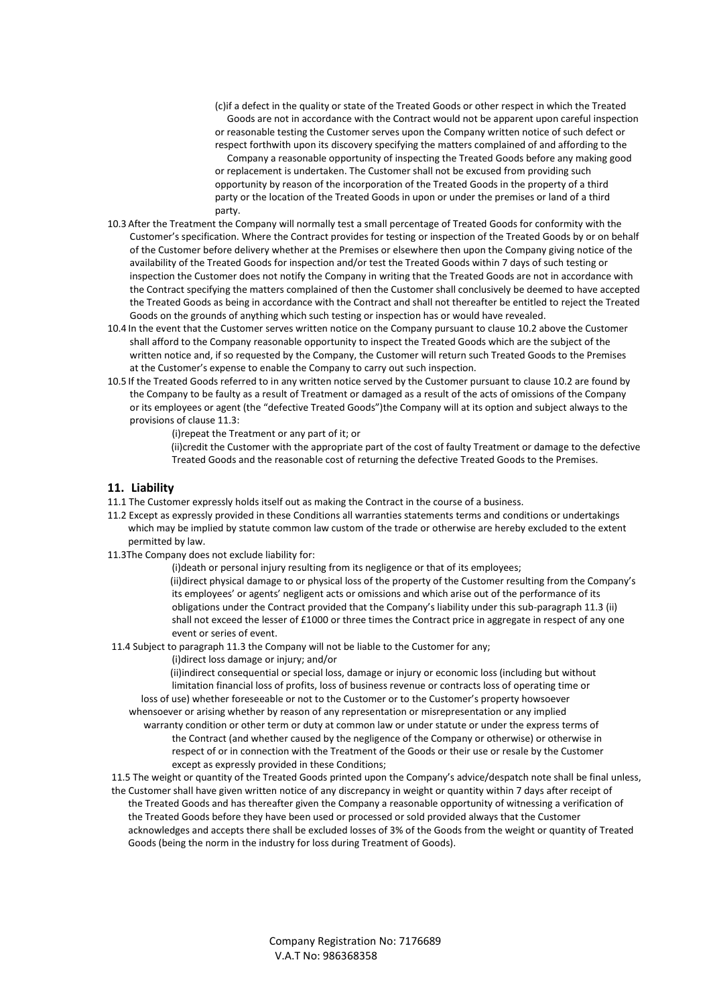- (c)if a defect in the quality or state of the Treated Goods or other respect in which the Treated Goods are not in accordance with the Contract would not be apparent upon careful inspection or reasonable testing the Customer serves upon the Company written notice of such defect or respect forthwith upon its discovery specifying the matters complained of and affording to the
- Company a reasonable opportunity of inspecting the Treated Goods before any making good or replacement is undertaken. The Customer shall not be excused from providing such opportunity by reason of the incorporation of the Treated Goods in the property of a third party or the location of the Treated Goods in upon or under the premises or land of a third party.
- 10.3 After the Treatment the Company will normally test a small percentage of Treated Goods for conformity with the Customer's specification. Where the Contract provides for testing or inspection of the Treated Goods by or on behalf of the Customer before delivery whether at the Premises or elsewhere then upon the Company giving notice of the availability of the Treated Goods for inspection and/or test the Treated Goods within 7 days of such testing or inspection the Customer does not notify the Company in writing that the Treated Goods are not in accordance with the Contract specifying the matters complained of then the Customer shall conclusively be deemed to have accepted the Treated Goods as being in accordance with the Contract and shall not thereafter be entitled to reject the Treated Goods on the grounds of anything which such testing or inspection has or would have revealed.
- 10.4 In the event that the Customer serves written notice on the Company pursuant to clause 10.2 above the Customer shall afford to the Company reasonable opportunity to inspect the Treated Goods which are the subject of the written notice and, if so requested by the Company, the Customer will return such Treated Goods to the Premises at the Customer's expense to enable the Company to carry out such inspection.
- 10.5 If the Treated Goods referred to in any written notice served by the Customer pursuant to clause 10.2 are found by the Company to be faulty as a result of Treatment or damaged as a result of the acts of omissions of the Company or its employees or agent (the "defective Treated Goods")the Company will at its option and subject always to the provisions of clause 11.3:

(i)repeat the Treatment or any part of it; or

 (ii)credit the Customer with the appropriate part of the cost of faulty Treatment or damage to the defective Treated Goods and the reasonable cost of returning the defective Treated Goods to the Premises.

# **11. Liability**

- 11.1 The Customer expressly holds itself out as making the Contract in the course of a business.
- 11.2 Except as expressly provided in these Conditions all warranties statements terms and conditions or undertakings which may be implied by statute common law custom of the trade or otherwise are hereby excluded to the extent permitted by law.
- 11.3The Company does not exclude liability for:

(i)death or personal injury resulting from its negligence or that of its employees; (ii)direct physical damage to or physical loss of the property of the Customer resulting from the Company's its employees' or agents' negligent acts or omissions and which arise out of the performance of its obligations under the Contract provided that the Company's liability under this sub-paragraph 11.3 (ii) shall not exceed the lesser of £1000 or three times the Contract price in aggregate in respect of any one event or series of event.

- 11.4 Subject to paragraph 11.3 the Company will not be liable to the Customer for any;
	- (i)direct loss damage or injury; and/or

 (ii)indirect consequential or special loss, damage or injury or economic loss (including but without limitation financial loss of profits, loss of business revenue or contracts loss of operating time or loss of use) whether foreseeable or not to the Customer or to the Customer's property howsoever

whensoever or arising whether by reason of any representation or misrepresentation or any implied warranty condition or other term or duty at common law or under statute or under the express terms of

the Contract (and whether caused by the negligence of the Company or otherwise) or otherwise in respect of or in connection with the Treatment of the Goods or their use or resale by the Customer except as expressly provided in these Conditions;

11.5 The weight or quantity of the Treated Goods printed upon the Company's advice/despatch note shall be final unless, the Customer shall have given written notice of any discrepancy in weight or quantity within 7 days after receipt of the Treated Goods and has thereafter given the Company a reasonable opportunity of witnessing a verification of the Treated Goods before they have been used or processed or sold provided always that the Customer acknowledges and accepts there shall be excluded losses of 3% of the Goods from the weight or quantity of Treated Goods (being the norm in the industry for loss during Treatment of Goods).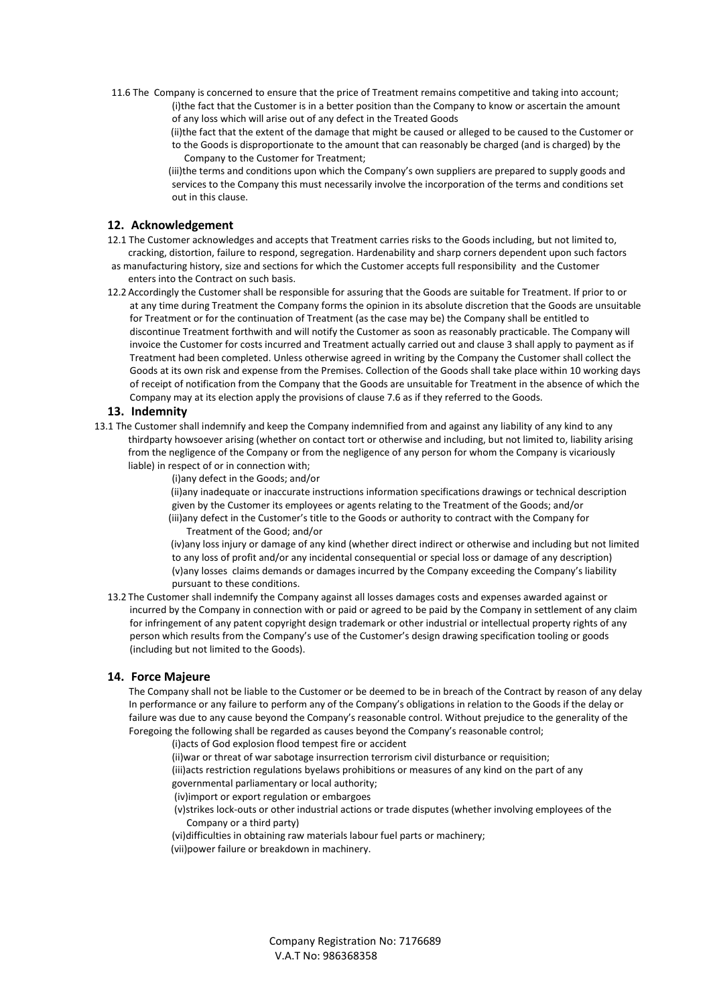11.6 The Company is concerned to ensure that the price of Treatment remains competitive and taking into account; (i)the fact that the Customer is in a better position than the Company to know or ascertain the amount of any loss which will arise out of any defect in the Treated Goods

> (ii)the fact that the extent of the damage that might be caused or alleged to be caused to the Customer or to the Goods is disproportionate to the amount that can reasonably be charged (and is charged) by the Company to the Customer for Treatment;

 (iii)the terms and conditions upon which the Company's own suppliers are prepared to supply goods and services to the Company this must necessarily involve the incorporation of the terms and conditions set out in this clause.

#### **12. Acknowledgement**

- 12.1 The Customer acknowledges and accepts that Treatment carries risks to the Goods including, but not limited to, cracking, distortion, failure to respond, segregation. Hardenability and sharp corners dependent upon such factors
- as manufacturing history, size and sections for which the Customer accepts full responsibility and the Customer enters into the Contract on such basis.
- 12.2 Accordingly the Customer shall be responsible for assuring that the Goods are suitable for Treatment. If prior to or at any time during Treatment the Company forms the opinion in its absolute discretion that the Goods are unsuitable for Treatment or for the continuation of Treatment (as the case may be) the Company shall be entitled to discontinue Treatment forthwith and will notify the Customer as soon as reasonably practicable. The Company will invoice the Customer for costs incurred and Treatment actually carried out and clause 3 shall apply to payment as if Treatment had been completed. Unless otherwise agreed in writing by the Company the Customer shall collect the Goods at its own risk and expense from the Premises. Collection of the Goods shall take place within 10 working days of receipt of notification from the Company that the Goods are unsuitable for Treatment in the absence of which the Company may at its election apply the provisions of clause 7.6 as if they referred to the Goods.

#### **13. Indemnity**

- 13.1 The Customer shall indemnify and keep the Company indemnified from and against any liability of any kind to any thirdparty howsoever arising (whether on contact tort or otherwise and including, but not limited to, liability arising from the negligence of the Company or from the negligence of any person for whom the Company is vicariously liable) in respect of or in connection with;
	- (i)any defect in the Goods; and/or

 (ii)any inadequate or inaccurate instructions information specifications drawings or technical description given by the Customer its employees or agents relating to the Treatment of the Goods; and/or (iii)any defect in the Customer's title to the Goods or authority to contract with the Company for Treatment of the Good; and/or

 (iv)any loss injury or damage of any kind (whether direct indirect or otherwise and including but not limited to any loss of profit and/or any incidental consequential or special loss or damage of any description) (v)any losses claims demands or damages incurred by the Company exceeding the Company's liability pursuant to these conditions.

13.2 The Customer shall indemnify the Company against all losses damages costs and expenses awarded against or incurred by the Company in connection with or paid or agreed to be paid by the Company in settlement of any claim for infringement of any patent copyright design trademark or other industrial or intellectual property rights of any person which results from the Company's use of the Customer's design drawing specification tooling or goods (including but not limited to the Goods).

#### **14. Force Majeure**

The Company shall not be liable to the Customer or be deemed to be in breach of the Contract by reason of any delay In performance or any failure to perform any of the Company's obligations in relation to the Goods if the delay or failure was due to any cause beyond the Company's reasonable control. Without prejudice to the generality of the Foregoing the following shall be regarded as causes beyond the Company's reasonable control;

(i)acts of God explosion flood tempest fire or accident

- (ii)war or threat of war sabotage insurrection terrorism civil disturbance or requisition;
- (iii)acts restriction regulations byelaws prohibitions or measures of any kind on the part of any governmental parliamentary or local authority;
- (iv)import or export regulation or embargoes
- (v)strikes lock-outs or other industrial actions or trade disputes (whether involving employees of the Company or a third party)
- (vi)difficulties in obtaining raw materials labour fuel parts or machinery;
- (vii)power failure or breakdown in machinery.